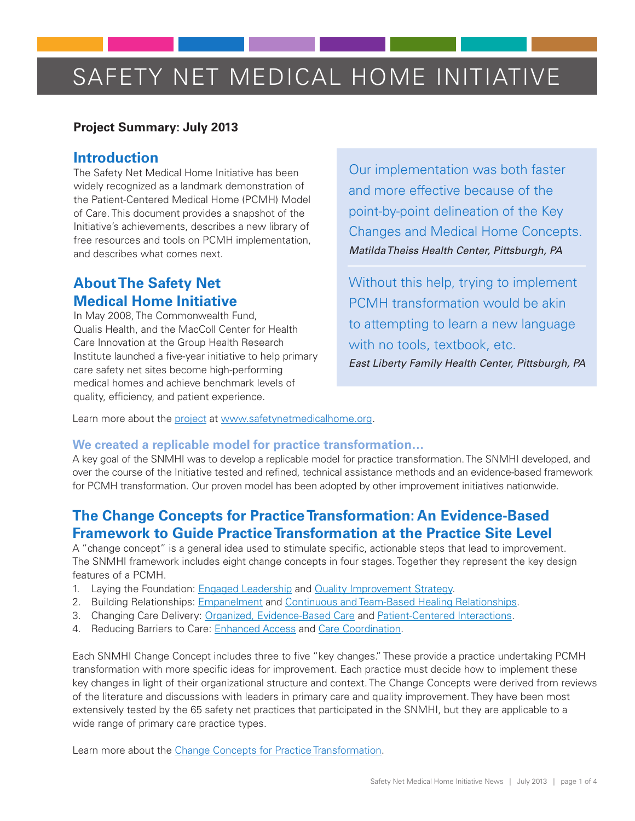# SAFETY NET MEDICAL HOME INITIATIVE

### **Project Summary: July 2013**

## **Introduction**

The Safety Net Medical Home Initiative has been widely recognized as a landmark demonstration of the Patient-Centered Medical Home (PCMH) Model of Care. This document provides a snapshot of the Initiative's achievements, describes a new library of free resources and tools on PCMH implementation, and describes what comes next.

## **About The Safety Net Medical Home Initiative**

In May 2008, The Commonwealth Fund, Qualis Health, and the MacColl Center for Health Care Innovation at the Group Health Research Institute launched a five-year initiative to help primary care safety net sites become high-performing medical homes and achieve benchmark levels of quality, efficiency, and patient experience.

Our implementation was both faster and more effective because of the point-by-point delineation of the Key Changes and Medical Home Concepts. *Matilda Theiss Health Center, Pittsburgh, PA*

Without this help, trying to implement PCMH transformation would be akin to attempting to learn a new language with no tools, textbook, etc. *East Liberty Family Health Center, Pittsburgh, PA*

Learn more about the [project](http://www.safetynetmedicalhome.org/about-initiative/project-description) at www.safetynetmedicalhome.org.

#### **We created a replicable model for practice transformation…**

A key goal of the SNMHI was to develop a replicable model for practice transformation. The SNMHI developed, and over the course of the Initiative tested and refined, technical assistance methods and an evidence-based framework for PCMH transformation. Our proven model has been adopted by other improvement initiatives nationwide.

## **The Change Concepts for Practice Transformation: An Evidence-Based Framework to Guide Practice Transformation at the Practice Site Level**

A "change concept" is a general idea used to stimulate specific, actionable steps that lead to improvement. The SNMHI framework includes eight change concepts in four stages. Together they represent the key design features of a PCMH.

- 1. Laying the Foundation: [Engaged Leadership](http://www.safetynetmedicalhome.org/change-concepts/engaged-leadership) and [Quality Improvement Strategy](http://www.safetynetmedicalhome.org/change-concepts/quality-improvement-strategy).
- 2. Building Relationships: [Empanelment](http://www.safetynetmedicalhome.org/change-concepts/empanelment) and [Continuous and Team-Based Healing Relationships](http://www.safetynetmedicalhome.org/change-concepts/continuous-team-based-healing-relationships).
- 3. Changing Care Delivery: [Organized, Evidence-Based Care](http://www.safetynetmedicalhome.org/change-concepts/organized-evidence-based-care) and [Patient-Centered Interactions.](http://www.safetynetmedicalhome.org/change-concepts/patient-centered-interactions)
- 4. Reducing Barriers to Care: [Enhanced Access](http://www.safetynetmedicalhome.org/change-concepts/enhanced-access) an[d Care Coordination.](http://www.safetynetmedicalhome.org/change-concepts/care-coordination)

Each SNMHI Change Concept includes three to five "key changes." These provide a practice undertaking PCMH transformation with more specific ideas for improvement. Each practice must decide how to implement these key changes in light of their organizational structure and context. The Change Concepts were derived from reviews of the literature and discussions with leaders in primary care and quality improvement. They have been most extensively tested by the 65 safety net practices that participated in the SNMHI, but they are applicable to a wide range of primary care practice types.

Learn more about the [Change Concepts for Practice Transformation.](http://www.safetynetmedicalhome.org/change-concepts)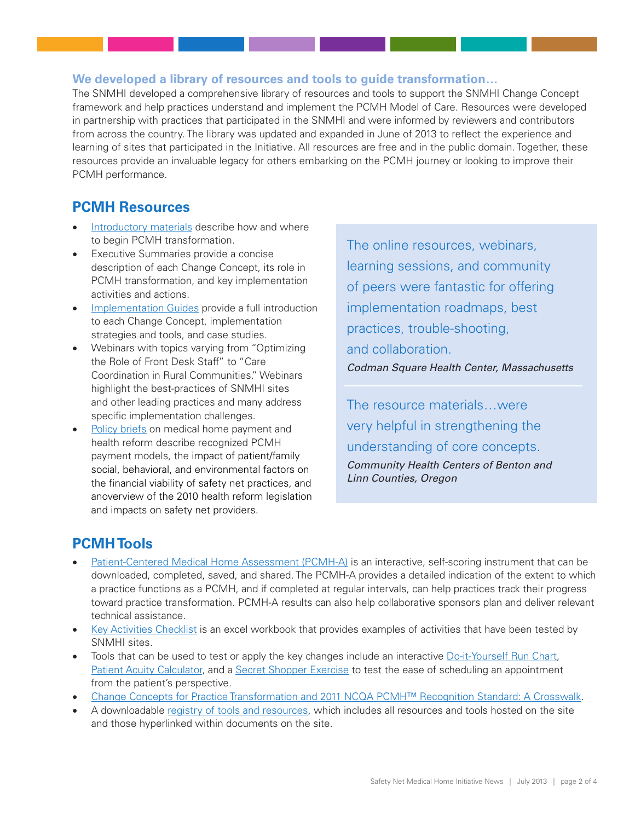## **We developed a library of resources and tools to guide transformation…**

The SNMHI developed a comprehensive library of resources and tools to support the SNMHI Change Concept framework and help practices understand and implement the PCMH Model of Care. Resources were developed in partnership with practices that participated in the SNMHI and were informed by reviewers and contributors from across the country. The library was updated and expanded in June of 2013 to reflect the experience and learning of sites that participated in the Initiative. All resources are free and in the public domain. Together, these resources provide an invaluable legacy for others embarking on the PCMH journey or looking to improve their PCMH performance.

## **PCMH Resources**

- [Introductory materials](http://www.safetynetmedicalhome.org/sites/default/files/Change-Concepts-for-Practice-Transformation.pdf) describe how and where to begin PCMH transformation.
- Executive Summaries provide a concise description of each Change Concept, its role in PCMH transformation, and key implementation activities and actions.
- [Implementation Guides](http://www.safetynetmedicalhome.org/change-concepts) provide a full introduction to each Change Concept, implementation strategies and tools, and case studies.
- Webinars with topics varying from "Optimizing" the Role of Front Desk Staff" to "Care Coordination in Rural Communities." Webinars highlight the best-practices of SNMHI sites and other leading practices and many address specific implementation challenges.
- [Policy briefs](http://www.safetynetmedicalhome.org/recognition-payment/medical-home-payment) on medical home payment and health reform describe recognized PCMH payment models, the impact of patient/family social, behavioral, and environmental factors on the financial viability of safety net practices, and anoverview of the 2010 health reform legislation and impacts on safety net providers.

The online resources, webinars, learning sessions, and community of peers were fantastic for offering implementation roadmaps, best practices, trouble-shooting, and collaboration. *Codman Square Health Center, Massachusetts*

The resource materials…were very helpful in strengthening the understanding of core concepts. *Community Health Centers of Benton and Linn Counties, Oregon*

## **PCMH Tools**

- [Patient-Centered Medical Home Assessment \(PCMH-A\)](http://www.safetynetmedicalhome.org/sites/default/files/PCMH-A.pdf) is an interactive, self-scoring instrument that can be downloaded, completed, saved, and shared. The PCMH-A provides a detailed indication of the extent to which a practice functions as a PCMH, and if completed at regular intervals, can help practices track their progress toward practice transformation. PCMH-A results can also help collaborative sponsors plan and deliver relevant technical assistance.
- [Key Activities Checklist](http://www.coachmedicalhome.org/sites/default/files/coachmedicalhome.org/key-activities-checklist.xls) is an excel workbook that provides examples of activities that have been tested by SNMHI sites.
- Tools that can be used to test or apply the key changes include an interactive [Do-it-Yourself Run Chart](http://www.safetynetmedicalhome.org/sites/default/files/Do-It-Yourself-Run-Chart-Tool.xls), [Patient Acuity Calculator,](http://www.safetynetmedicalhome.org/sites/default/files/Patient-Acuity-Rubric.xlsx) and a [Secret Shopper Exercise](http://www.safetynetmedicalhome.org/sites/default/files/Secret-Shopper.pdf) to test the ease of scheduling an appointment from the patient's perspective.
- Change Concepts for Practice Transformation and 2011 NCQA PCMH™ Recognition Standard: A Crosswalk.
- A downloadable [registry of tools and resources](http://www.safetynetmedicalhome.org/sites/default/files/All-Resources.xls), which includes all resources and tools hosted on the site and those hyperlinked within documents on the site.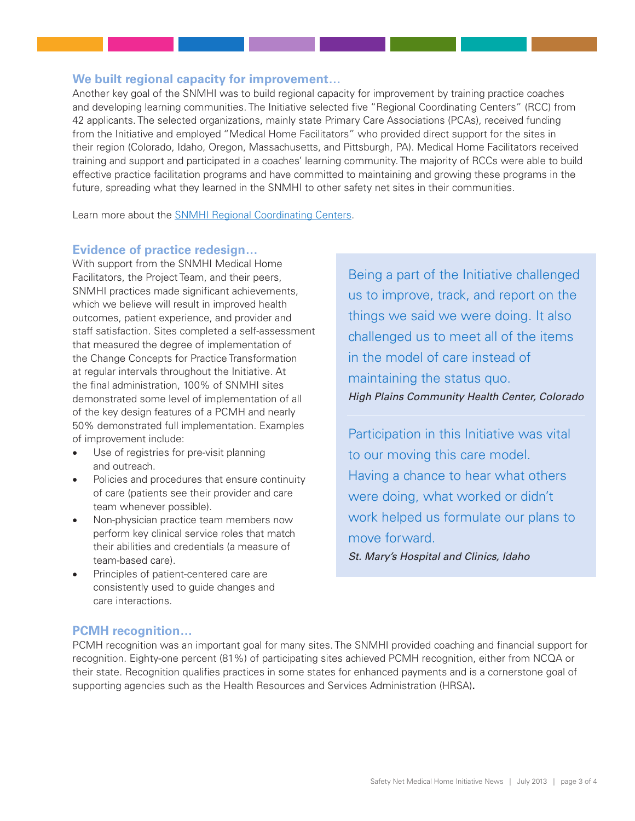#### **We built regional capacity for improvement…**

Another key goal of the SNMHI was to build regional capacity for improvement by training practice coaches and developing learning communities. The Initiative selected five "Regional Coordinating Centers" (RCC) from 42 applicants. The selected organizations, mainly state Primary Care Associations (PCAs), received funding from the Initiative and employed "Medical Home Facilitators" who provided direct support for the sites in their region (Colorado, Idaho, Oregon, Massachusetts, and Pittsburgh, PA). Medical Home Facilitators received training and support and participated in a coaches' learning community. The majority of RCCs were able to build effective practice facilitation programs and have committed to maintaining and growing these programs in the future, spreading what they learned in the SNMHI to other safety net sites in their communities.

Learn more about the [SNMHI Regional Coordinating Centers.](http://www.safetynetmedicalhome.org/about-initiative/rcc)

#### **Evidence of practice redesign…**

With support from the SNMHI Medical Home Facilitators, the Project Team, and their peers, SNMHI practices made significant achievements, which we believe will result in improved health outcomes, patient experience, and provider and staff satisfaction. Sites completed a self-assessment that measured the degree of implementation of the Change Concepts for Practice Transformation at regular intervals throughout the Initiative. At the final administration, 100% of SNMHI sites demonstrated some level of implementation of all of the key design features of a PCMH and nearly 50% demonstrated full implementation. Examples of improvement include:

- Use of registries for pre-visit planning and outreach.
- Policies and procedures that ensure continuity of care (patients see their provider and care team whenever possible).
- Non-physician practice team members now perform key clinical service roles that match their abilities and credentials (a measure of team-based care).
- Principles of patient-centered care are consistently used to guide changes and care interactions.

Being a part of the Initiative challenged us to improve, track, and report on the things we said we were doing. It also challenged us to meet all of the items in the model of care instead of maintaining the status quo. *High Plains Community Health Center, Colorado*

Participation in this Initiative was vital to our moving this care model. Having a chance to hear what others were doing, what worked or didn't work helped us formulate our plans to move forward. *St. Mary's Hospital and Clinics, Idaho*

#### **PCMH recognition…**

PCMH recognition was an important goal for many sites. The SNMHI provided coaching and financial support for recognition. Eighty-one percent (81%) of participating sites achieved PCMH recognition, either from NCQA or their state. Recognition qualifies practices in some states for enhanced payments and is a cornerstone goal of supporting agencies such as the Health Resources and Services Administration (HRSA)**.**